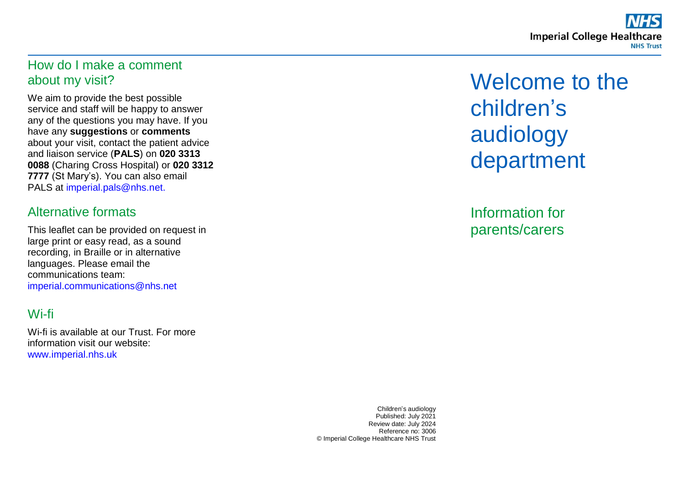### How do I make a comment about my visit?

We aim to provide the best possible service and staff will be happy to answer any of the questions you may have. If you have any **suggestions** or **comments** about your visit, contact the patient advice and liaison service (**PALS**) on **020 3313 0088** (Charing Cross Hospital) or **020 3312 7777** (St Mary's). You can also email PALS at [imperial.pals@nhs.net.](mailto:imperial.pals@nhs.net)

### Alternative formats

This leaflet can be provided on request in large print or easy read, as a sound recording, in Braille or in alternative languages. Please email the communications team: [imperial.communications@nhs.net](mailto:imperial.communications@nhs.net)

## Wi-fi

Wi-fi is available at our Trust. For more information visit our website: [www.imperial.nhs.uk](http://www.imperial.nhs.uk/)

Welcome to the children's audiology department

Information for parents/carers

Children's audiology Published: July 2021 Review date: July 2024 Reference no: 3006 © Imperial College Healthcare NHS Trust